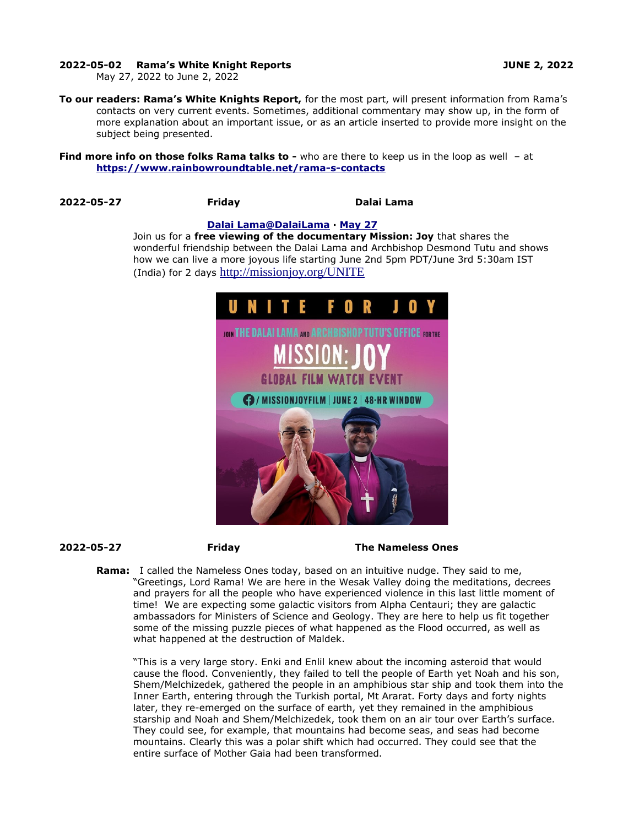## **2022-05-02 Rama's White Knight Reports JUNE 2, 2022**

May 27, 2022 to June 2, 2022

**To our readers: Rama's White Knights Report,** for the most part, will present information from Rama's contacts on very current events. Sometimes, additional commentary may show up, in the form of more explanation about an important issue, or as an article inserted to provide more insight on the subject being presented.

**Find more info on those folks Rama talks to -** who are there to keep us in the loop as well - at **<https://www.rainbowroundtable.net/rama-s-contacts>**

## **2022-05-27 Friday Dalai Lama**

### **[Dalai](https://twitter.com/DalaiLama) [Lama @DalaiLama](mailto:Lama@DalaiLama) · [May 27](https://twitter.com/DalaiLama/status/1530119224362168320)**

Join us for a **free viewing of the documentary Mission: Joy** that shares the wonderful friendship between the Dalai Lama and Archbishop Desmond Tutu and shows how we can live a more joyous life starting June 2nd 5pm PDT/June 3rd 5:30am IST (India) for 2 days [http://missionjoy.org/UNITE](https://t.co/zhUbWEm9hF)



## **2022-05-27 Friday The Nameless Ones**

**Rama:** I called the Nameless Ones today, based on an intuitive nudge. They said to me, "Greetings, Lord Rama! We are here in the Wesak Valley doing the meditations, decrees and prayers for all the people who have experienced violence in this last little moment of time! We are expecting some galactic visitors from Alpha Centauri; they are galactic ambassadors for Ministers of Science and Geology. They are here to help us fit together some of the missing puzzle pieces of what happened as the Flood occurred, as well as what happened at the destruction of Maldek.

"This is a very large story. Enki and Enlil knew about the incoming asteroid that would cause the flood. Conveniently, they failed to tell the people of Earth yet Noah and his son, Shem/Melchizedek, gathered the people in an amphibious star ship and took them into the Inner Earth, entering through the Turkish portal, Mt Ararat. Forty days and forty nights later, they re-emerged on the surface of earth, yet they remained in the amphibious starship and Noah and Shem/Melchizedek, took them on an air tour over Earth's surface. They could see, for example, that mountains had become seas, and seas had become mountains. Clearly this was a polar shift which had occurred. They could see that the entire surface of Mother Gaia had been transformed.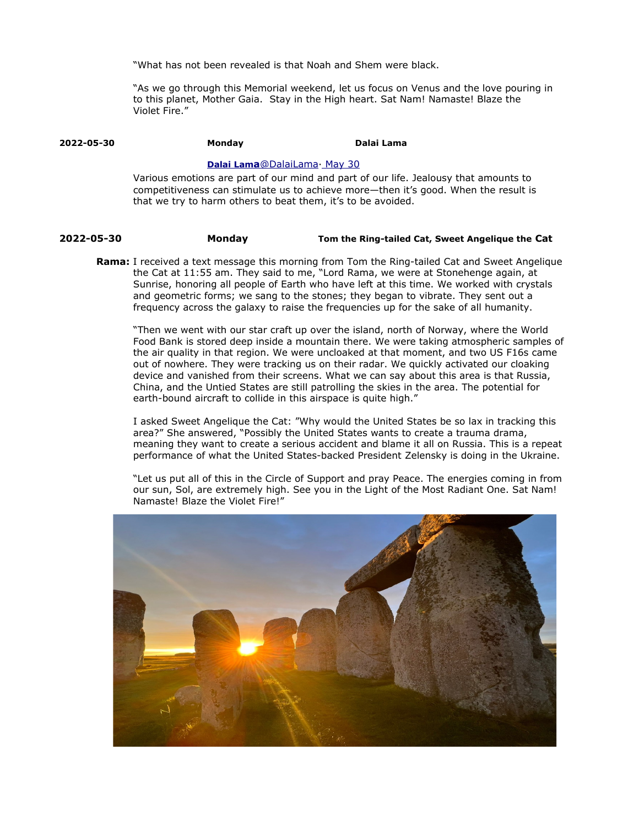"What has not been revealed is that Noah and Shem were black.

"As we go through this Memorial weekend, let us focus on Venus and the love pouring in to this planet, Mother Gaia. Stay in the High heart. Sat Nam! Namaste! Blaze the Violet Fire."

# **2022-05-30 Monday Dalai Lama**

# **[Dalai](https://twitter.com/DalaiLama) [Lam](mailto:Lama@DalaiLama)[a](mailto:Lama@DalaiLama)**[@DalaiL](mailto:Lama@DalaiLama)[ama](mailto:Lama@DalaiLama) May 30

Various emotions are part of our mind and part of our life. Jealousy that amounts to competitiveness can stimulate us to achieve more—then it's good. When the result is that we try to harm others to beat them, it's to be avoided.

# **2022-05-30 Monday Tom the Ring-tailed Cat, Sweet Angelique the Cat**

**Rama:** I received a text message this morning from Tom the Ring-tailed Cat and Sweet Angelique the Cat at 11:55 am. They said to me, "Lord Rama, we were at Stonehenge again, at Sunrise, honoring all people of Earth who have left at this time. We worked with crystals and geometric forms; we sang to the stones; they began to vibrate. They sent out a frequency across the galaxy to raise the frequencies up for the sake of all humanity.

"Then we went with our star craft up over the island, north of Norway, where the World Food Bank is stored deep inside a mountain there. We were taking atmospheric samples of the air quality in that region. We were uncloaked at that moment, and two US F16s came out of nowhere. They were tracking us on their radar. We quickly activated our cloaking device and vanished from their screens. What we can say about this area is that Russia, China, and the Untied States are still patrolling the skies in the area. The potential for earth-bound aircraft to collide in this airspace is quite high."

I asked Sweet Angelique the Cat: "Why would the United States be so lax in tracking this area?" She answered, "Possibly the United States wants to create a trauma drama, meaning they want to create a serious accident and blame it all on Russia. This is a repeat performance of what the United States-backed President Zelensky is doing in the Ukraine.

"Let us put all of this in the Circle of Support and pray Peace. The energies coming in from our sun, Sol, are extremely high. See you in the Light of the Most Radiant One. Sat Nam! Namaste! Blaze the Violet Fire!"